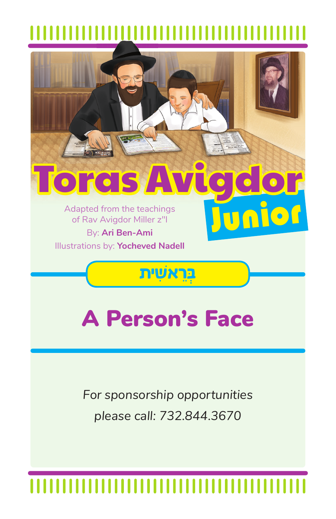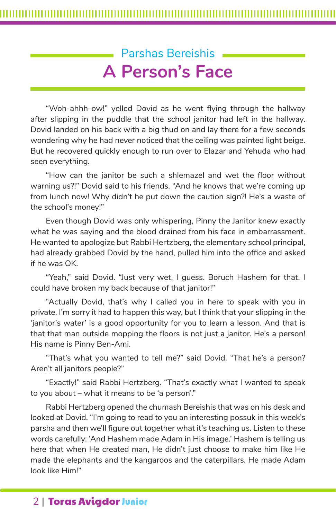# Parshas Bereishis **A Person's Face**

"Woh-ahhh-ow!" yelled Dovid as he went flying through the hallway after slipping in the puddle that the school janitor had left in the hallway. Dovid landed on his back with a big thud on and lay there for a few seconds wondering why he had never noticed that the ceiling was painted light beige. But he recovered quickly enough to run over to Elazar and Yehuda who had seen everything.

"How can the janitor be such a shlemazel and wet the floor without warning us?!" Dovid said to his friends. "And he knows that we're coming up from lunch now! Why didn't he put down the caution sign?! He's a waste of the school's money!"

Even though Dovid was only whispering, Pinny the Janitor knew exactly what he was saying and the blood drained from his face in embarrassment. He wanted to apologize but Rabbi Hertzberg, the elementary school principal, had already grabbed Dovid by the hand, pulled him into the office and asked if he was OK.

"Yeah," said Dovid. "Just very wet, I guess. Boruch Hashem for that. I could have broken my back because of that janitor!"

"Actually Dovid, that's why I called you in here to speak with you in private. I'm sorry it had to happen this way, but I think that your slipping in the 'janitor's water' is a good opportunity for you to learn a lesson. And that is that that man outside mopping the floors is not just a janitor. He's a person! His name is Pinny Ben-Ami.

"That's what you wanted to tell me?" said Dovid. "That he's a person? Aren't all janitors people?"

"Exactly!" said Rabbi Hertzberg. "That's exactly what I wanted to speak to you about – what it means to be 'a person'."

Rabbi Hertzberg opened the chumash Bereishis that was on his desk and looked at Dovid. "I'm going to read to you an interesting possuk in this week's parsha and then we'll figure out together what it's teaching us. Listen to these words carefully: 'And Hashem made Adam in His image.' Hashem is telling us here that when He created man, He didn't just choose to make him like He made the elephants and the kangaroos and the caterpillars. He made Adam look like Him!"

## 2 | Toras Avigdor Junior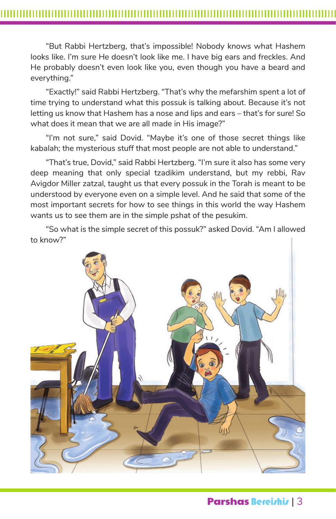"But Rabbi Hertzberg, that's impossible! Nobody knows what Hashem looks like. I'm sure He doesn't look like me. I have big ears and freckles. And He probably doesn't even look like you, even though you have a beard and everything."

"Exactly!" said Rabbi Hertzberg. "That's why the mefarshim spent a lot of time trying to understand what this possuk is talking about. Because it's not letting us know that Hashem has a nose and lips and ears – that's for sure! So what does it mean that we are all made in His image?"

"I'm not sure," said Dovid. "Maybe it's one of those secret things like kabalah; the mysterious stuff that most people are not able to understand."

"That's true, Dovid," said Rabbi Hertzberg. "I'm sure it also has some very deep meaning that only special tzadikim understand, but my rebbi, Rav Avigdor Miller zatzal, taught us that every possuk in the Torah is meant to be understood by everyone even on a simple level. And he said that some of the most important secrets for how to see things in this world the way Hashem wants us to see them are in the simple pshat of the pesukim.

"So what is the simple secret of this possuk?" asked Dovid. "Am I allowed to know?"